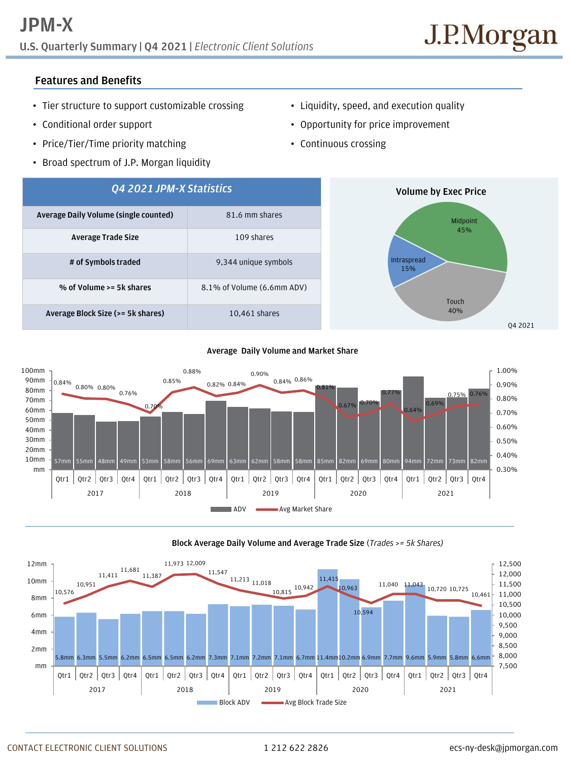**U.S. Quarterly Summary | Q4 2021 |** *Electronic Client Solutions*

# **Features and Benefits**

- Tier structure to support customizable crossing
- Conditional order support
- Price/Tier/Time priority matching
- Broad spectrum of J.P. Morgan liquidity
- Liquidity, speed, and execution quality
- Opportunity for price improvement
- Continuous crossing



### **Average Daily Volume and Market Share**